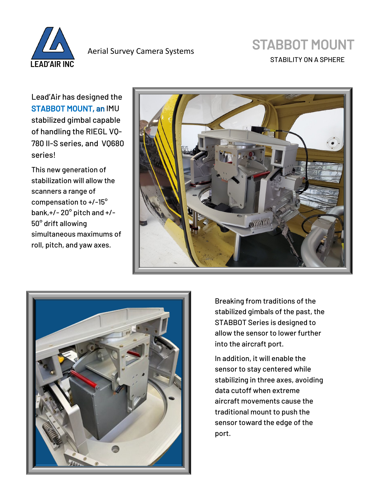

Aerial Survey Camera Systems

## STABBOT MOUNT

STABILITY ON A SPHERE

Lead'Air has designed the STABBOT MOUNT, an IMU stabilized gimbal capable of handling the RIEGL VQ-780 II-S series, and VQ680 series!

This new generation of stabilization will allow the scanners a range of compensation to +/-15° bank,+/- 20° pitch and +/- 50° drift allowing simultaneous maximums of roll, pitch, and yaw axes.





Breaking from traditions of the stabilized gimbals of the past, the STABBOT Series is designed to allow the sensor to lower further into the aircraft port.

In addition, it will enable the sensor to stay centered while stabilizing in three axes, avoiding data cutoff when extreme aircraft movements cause the traditional mount to push the sensor toward the edge of the port.